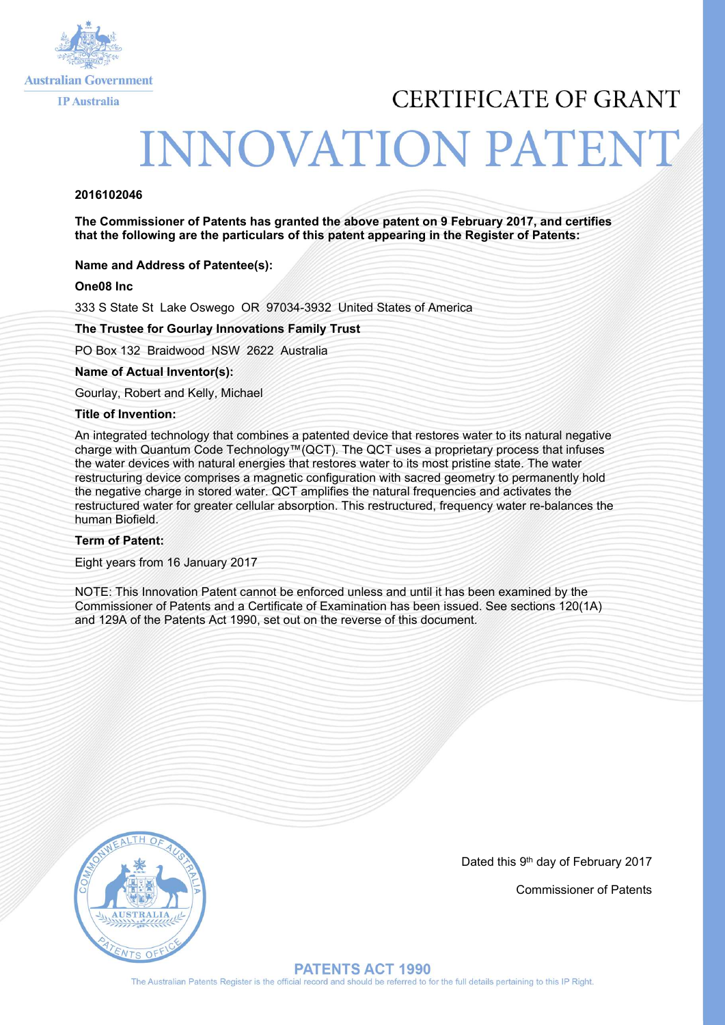

# CERTIFICATE OF GRANT

# **INNOVATION PATENT**

## **2016102046**

**The Commissioner of Patents has granted the above patent on 9 February 2017, and certifies that the following are the particulars of this patent appearing in the Register of Patents:**

### **Name and Address of Patentee(s):**

### **One08 Inc**

333 S State St Lake Oswego OR 97034-3932 United States of America

### **The Trustee for Gourlay Innovations Family Trust**

PO Box 132 Braidwood NSW 2622 Australia

**Name of Actual Inventor(s):** 

Gourlay, Robert and Kelly, Michael

#### **Title of Invention:**

An integrated technology that combines a patented device that restores water to its natural negative charge with Quantum Code Technology™(QCT). The QCT uses a proprietary process that infuses the water devices with natural energies that restores water to its most pristine state. The water restructuring device comprises a magnetic configuration with sacred geometry to permanently hold the negative charge in stored water. QCT amplifies the natural frequencies and activates the restructured water for greater cellular absorption. This restructured, frequency water re-balances the human Biofield.

#### **Term of Patent:**

Eight years from 16 January 2017

NOTE: This Innovation Patent cannot be enforced unless and until it has been examined by the Commissioner of Patents and a Certificate of Examination has been issued. See sections 120(1A) and 129A of the Patents Act 1990, set out on the reverse of this document.



Dated this 9th day of February 2017

Commissioner of Patents